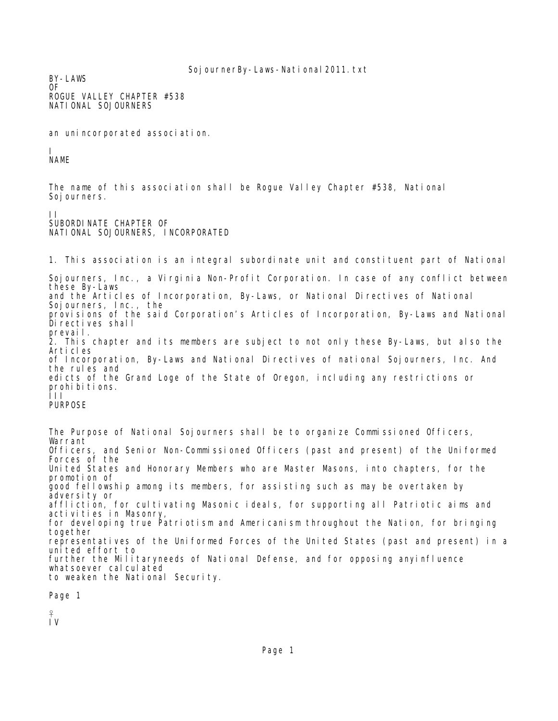BY-LAWS OF ROGUE VALLEY CHAPTER #538 NATIONAL SOJOURNERS

an unincorporated association.

I NAME

The name of this association shall be Rogue Valley Chapter #538, National Soj ourners.

II SUBORDINATE CHAPTER OF NATIONAL SOJOURNERS, INCORPORATED

1. This association is an integral subordinate unit and constituent part of National Sojourners, Inc., a Virginia Non-Profit Corporation. In case of any conflict between these By-Laws and the Articles of Incorporation, By-Laws, or National Directives of National Sojourners, Inc., the provisions of the said Corporation's Articles of Incorporation, By-Laws and National Directives shall prevail. 2. This chapter and its members are subject to not only these By-Laws, but also the Articles of Incorporation, By-Laws and National Directives of national Sojourners, Inc. And the rules and edicts of the Grand Loge of the State of Oregon, including any restrictions or prohibitions. III PURPOSE

The Purpose of National Sojourners shall be to organize Commissioned Officers, Warrant Officers, and Senior Non-Commissioned Officers (past and present) of the Uniformed Forces of the United States and Honorary Members who are Master Masons, into chapters, for the promotion of good fellowship among its members, for assisting such as may be overtaken by adversity or affliction, for cultivating Masonic ideals, for supporting all Patriotic aims and activities in Masonry, for developing true Patriotism and Americanism throughout the Nation, for bringing together representatives of the Uniformed Forces of the United States (past and present) in a united effort to further the Militaryneeds of National Defense, and for opposing anyinfluence whatsoever calculated to weaken the National Security.

Page 1

₽

IV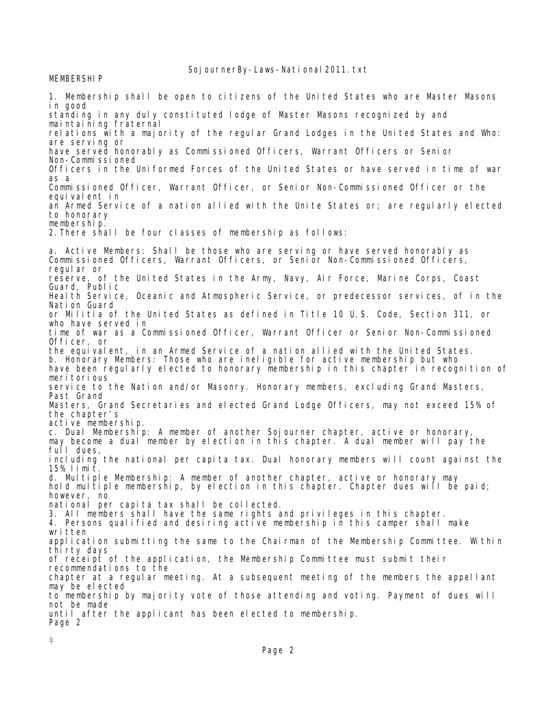MEMBERSHIP

1. Membership shall be open to citizens of the United States who are Master Masons in good standing in any duly constituted lodge of Master Masons recognized by and maintaining fraternal relations with a majority of the regular Grand Lodges in the United States and Who: are serving or have served honorably as Commissioned Officers, Warrant Officers or Senior Non-Commissioned Officers in the Uniformed Forces of the United States or have served in time of war as a Commissioned Officer, Warrant Officer, or Senior Non-Commissioned Officer or the equivalent in an Armed Service of a nation allied with the Unite States or; are regularly elected to honorary membership. 2.There shall be four classes of membership as follows: a. Active Members: Shall be those who are serving or have served honorably as Commissioned Officers, Warrant Officers, or Senior Non-Commissioned Officers, regular or reserve, of the United States in the Army, Navy, Air Force, Marine Corps, Coast Guard, Public Health Service, Oceanic and Atmospheric Service, or predecessor services, of in the Nation Guard or Militia of the United States as defined in Title 10 U.S. Code, Section 311, or who have served in time of war as a Commissioned Officer, Warrant Officer or Senior Non-Commissioned Officer, or the equivalent, in an Armed Service of a nation allied with the United States. b. Honorary Members: Those who are ineligible for active membership but who have been regularly elected to honorary membership in this chapter in recognition of meritorious service to the Nation and/or Masonry. Honorary members, excluding Grand Masters, Past Grand Masters, Grand Secretaries and elected Grand Lodge Officers, may not exceed 15% of the chapter's active membership. c. Dual Membership: A member of another Sojourner chapter, active or honorary, may become a dual member by election in this chapter. A dual member will pay the full dues, including the national per capita tax. Dual honorary members will count against the 15% limit. d. Multiple Membership: A member of another chapter, active or honorary may hold multiple membership, by election in this chapter. Chapter dues will be paid; however, no national per capita tax shall be collected. 3. All members shall have the same rights and privileges in this chapter. 4. Persons qualified and desiring active membership in this camper shall make written application submitting the same to the Chairman of the Membership Committee. Within thirty days of receipt of the application, the Membership Committee must submit their recommendations to the chapter at a regular meeting. At a subsequent meeting of the members the appellant may be elected to membership by majority vote of those attending and voting. Payment of dues will not be made until after the applicant has been elected to membership. Page 2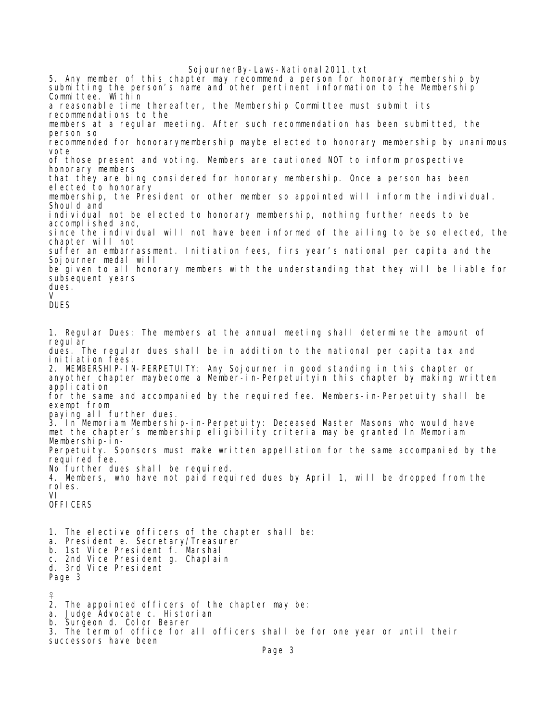5. Any member of this chapter may recommend a person for honorary membership by submitting the person's name and other pertinent information to the Membership Committee. Within a reasonable time thereafter, the Membership Committee must submit its recommendations to the members at a regular meeting. After such recommendation has been submitted, the person so recommended for honorarymembership maybe elected to honorary membership by unanimous vote of those present and voting. Members are cautioned NOT to inform prospective honorary members that they are bing considered for honorary membership. Once a person has been elected to honorary membership, the President or other member so appointed will inform the individual. Should and individual not be elected to honorary membership, nothing further needs to be accomplished and, since the individual will not have been informed of the ailing to be so elected, the chapter will not suffer an embarrassment. Initiation fees, firs year's national per capita and the Sojourner medal will be given to all honorary members with the understanding that they will be liable for subsequent years dues.  $\mathbf{V}$ DUES 1. Regular Dues: The members at the annual meeting shall determine the amount of regular dues. The regular dues shall be in addition to the national per capita tax and initiation fees. 2. MEMBERSHIP-IN-PERPETUITY: Any Sojourner in good standing in this chapter or anyother chapter maybecome a Member-in-Perpetuityin this chapter by making written application for the same and accompanied by the required fee. Members-in-Perpetuity shall be exempt from paying all further dues. 3. In Memoriam Membership-in-Perpetuity: Deceased Master Masons who would have met the chapter's membership eligibility criteria may be granted In Memoriam Membership-in-Perpetuity. Sponsors must make written appellation for the same accompanied by the required fee. No further dues shall be required. 4. Members, who have not paid required dues by April 1, will be dropped from the roles. VI OFFICERS 1. The elective officers of the chapter shall be: a. President e. Secretary/Treasurer b. 1st Vice President f. Marshal c. 2nd Vice President g. Chaplain d. 3rd Vice President Page 3 q 2. The appointed officers of the chapter may be: a. Judge Advocate c. Historian b. Surgeon d. Color Bearer 3. The term of office for all officers shall be for one year or until their successors have been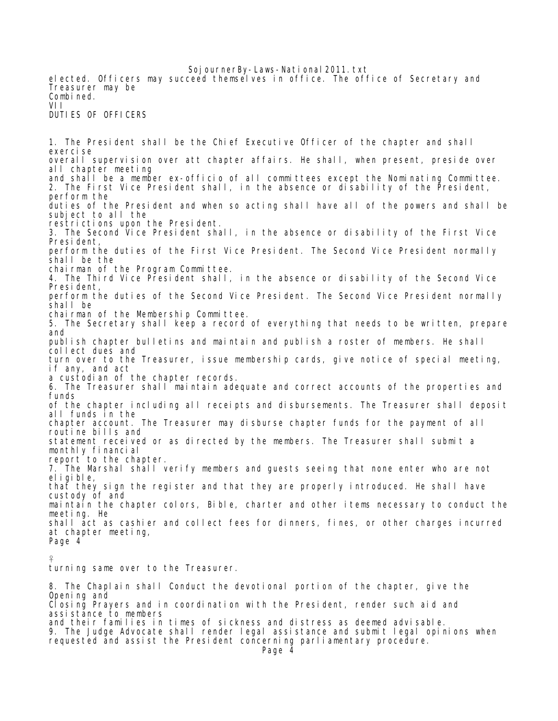elected. Officers may succeed themselves in office. The office of Secretary and Treasurer may be Combined. VII DUTIES OF OFFICERS

1. The President shall be the Chief Executive Officer of the chapter and shall exercise overall supervision over att chapter affairs. He shall, when present, preside over all chapter meeting and shall be a member ex-officio of all committees except the Nominating Committee. 2. The First Vice President shall, in the absence or disability of the President, perform the duties of the President and when so acting shall have all of the powers and shall be subject to all the restrictions upon the President. 3. The Second Vice President shall, in the absence or disability of the First Vice President, perform the duties of the First Vice President. The Second Vice President normally shall be the chairman of the Program Committee. 4. The Third Vice President shall, in the absence or disability of the Second Vice President, perform the duties of the Second Vice President. The Second Vice President normally shall be chairman of the Membership Committee. 5. The Secretary shall keep a record of everything that needs to be written, prepare and publish chapter bulletins and maintain and publish a roster of members. He shall collect dues and turn over to the Treasurer, issue membership cards, give notice of special meeting, if any, and act a custodian of the chapter records. 6. The Treasurer shall maintain adequate and correct accounts of the properties and funds of the chapter including all receipts and disbursements. The Treasurer shall deposit all funds in the chapter account. The Treasurer may disburse chapter funds for the payment of all routine bills and statement received or as directed by the members. The Treasurer shall submit a monthly financial report to the chapter. 7. The Marshal shall verify members and guests seeing that none enter who are not eligible, that they sign the register and that they are properly introduced. He shall have custody of and maintain the chapter colors, Bible, charter and other items necessary to conduct the meeting. He shall act as cashier and collect fees for dinners, fines, or other charges incurred at chapter meeting, Page 4

₽

turning same over to the Treasurer.

8. The Chaplain shall Conduct the devotional portion of the chapter, give the Opening and Closing Prayers and in coordination with the President, render such aid and assistance to members and their families in times of sickness and distress as deemed advisable. 9. The Judge Advocate shall render legal assistance and submit legal opinions when requested and assist the President concerning parliamentary procedure. Page 4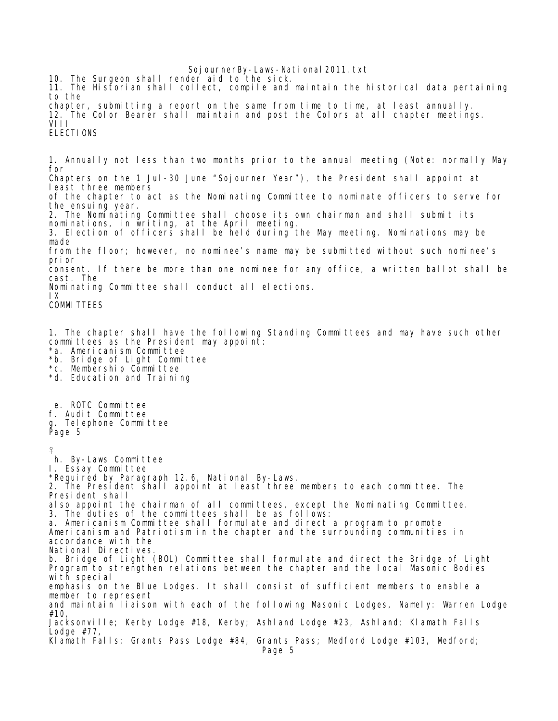Soj ournerBy-Laws-National 2011. txt 10. The Surgeon shall render aid to the sick. 11. The Historian shall collect, compile and maintain the historical data pertaining to the chapter, submitting a report on the same from time to time, at least annually. 12. The Color Bearer shall maintain and post the Colors at all chapter meetings. VIII ELECTIONS 1. Annually not less than two months prior to the annual meeting (Note: normally May for Chapters on the 1 Jul-30 June "Sojourner Year"), the President shall appoint at least three members of the chapter to act as the Nominating Committee to nominate officers to serve for the ensuing year. 2. The Nominating Committee shall choose its own chairman and shall submit its nominations, in writing, at the April meeting. 3. Election of officers shall be held during the May meeting. Nominations may be made from the floor; however, no nominee's name may be submitted without such nominee's prior consent. If there be more than one nominee for any office, a written ballot shall be cast. The Nominating Committee shall conduct all elections. IX COMMITTEES 1. The chapter shall have the following Standing Committees and may have such other committees as the President may appoint: \*a. Americanism Committee \*b. Bridge of Light Committee \*c. Membership Committee \*d. Education and Training e. ROTC Committee f. Audit Committee g. Telephone Committee Page 5 q h. By-Laws Committee I. Essay Committee \*Required by Paragraph 12.6, National By-Laws. 2. The President shall appoint at least three members to each committee. The President shall also appoint the chairman of all committees, except the Nominating Committee. 3. The duties of the committees shall be as follows: a. Americanism Committee shall formulate and direct a program to promote Americanism and Patriotism in the chapter and the surrounding communities in accordance with the National Directives. b. Bridge of Light (BOL) Committee shall formulate and direct the Bridge of Light Program to strengthen relations between the chapter and the local Masonic Bodies with special emphasis on the Blue Lodges. It shall consist of sufficient members to enable a member to represent and maintain liaison with each of the following Masonic Lodges, Namely: Warren Lodge #10, Jacksonville; Kerby Lodge #18, Kerby; Ashland Lodge #23, Ashland; Klamath Falls Lodge #77, Klamath Falls; Grants Pass Lodge #84, Grants Pass; Medford Lodge #103, Medford;

Page 5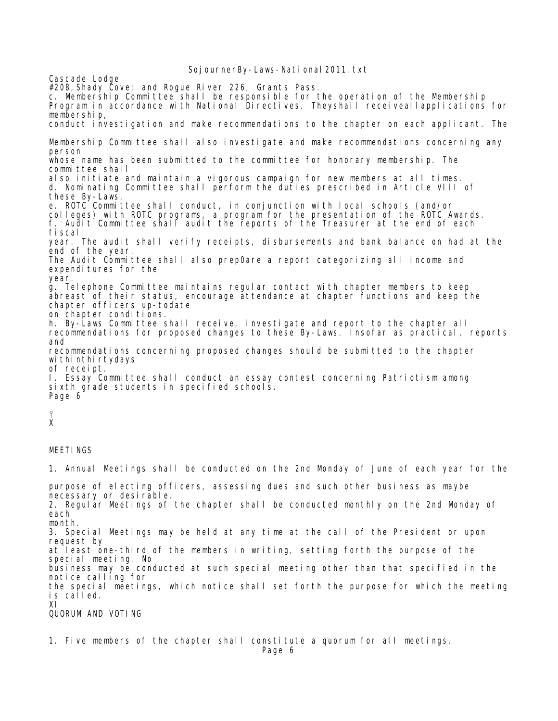Cascade Lodge #208,Shady Cove; and Rogue River 226, Grants Pass. c. Membership Committee shall be responsible for the operation of the Membership Program in accordance with National Directives. Theyshall receiveallapplications for membership, conduct investigation and make recommendations to the chapter on each applicant. The Membership Committee shall also investigate and make recommendations concerning any person whose name has been submitted to the committee for honorary membership. The committee shall also initiate and maintain a vigorous campaign for new members at all times. d. Nominating Committee shall perform the duties prescribed in Article VIII of these By-Laws. e. ROTC Committee shall conduct, in conjunction with local schools (and/or colleges) with ROTC programs, a program for the presentation of the ROTC Awards. f. Audit Committee shall audit the reports of the Treasurer at the end of each fiscal year. The audit shall verify receipts, disbursements and bank balance on had at the end of the year. The Audit Committee shall also prep0are a report categorizing all income and expenditures for the year. g. Telephone Committee maintains regular contact with chapter members to keep abreast of their status, encourage attendance at chapter functions and keep the chapter officers up-todate on chapter conditions. h. By-Laws Committee shall receive, investigate and report to the chapter all recommendations for proposed changes to these By-Laws. Insofar as practical, reports and recommendations concerning proposed changes should be submitted to the chapter withinthirtydays of receipt. I. Essay Committee shall conduct an essay contest concerning Patriotism among sixth grade students in specified schools. Page 6 ₽ X MEETINGS 1. Annual Meetings shall be conducted on the 2nd Monday of June of each year for the purpose of electing officers, assessing dues and such other business as maybe necessary or desirable. 2. Regular Meetings of the chapter shall be conducted monthly on the 2nd Monday of each month. 3. Special Meetings may be held at any time at the call of the President or upon request by at least one-third of the members in writing, setting forth the purpose of the special meeting. No business may be conducted at such special meeting other than that specified in the notice calling for the special meetings, which notice shall set forth the purpose for which the meeting is called. XI QUORUM AND VOTING

1. Five members of the chapter shall constitute a quorum for all meetings.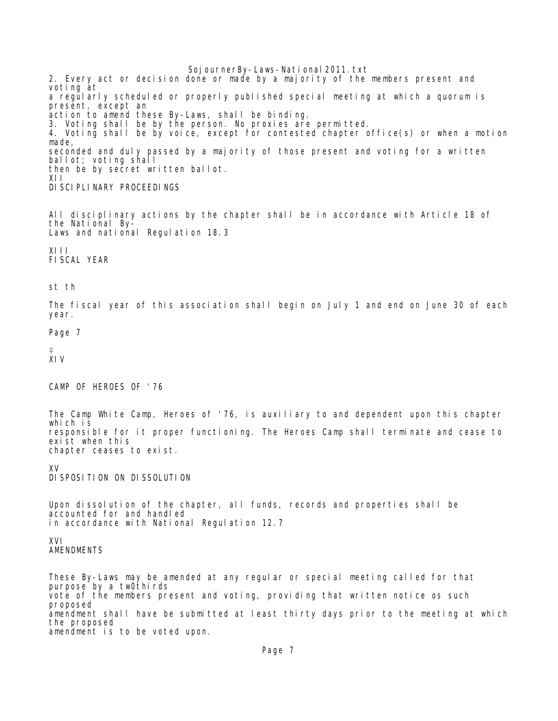Soj ournerBy-Laws-National 2011. txt 2. Every act or decision done or made by a majority of the members present and voting at a regularly scheduled or properly published special meeting at which a quorum is present, except an action to amend these By-Laws, shall be binding. 3. Voting shall be by the person. No proxies are permitted. 4. Voting shall be by voice, except for contested chapter office(s) or when a motion made, seconded and duly passed by a majority of those present and voting for a written ballot; voting shall then be by secret written ballot. XII DI SCI PLI NARY PROCEEDINGS

All disciplinary actions by the chapter shall be in accordance with Article 18 of the National By-Laws and national Regulation 18.3

XIII FISCAL YEAR

st th

The fiscal year of this association shall begin on July 1 and end on June 30 of each year.

Page 7

₽ XIV

CAMP OF HEROES OF '76

The Camp White Camp, Heroes of '76, is auxiliary to and dependent upon this chapter which is responsible for it proper functioning. The Heroes Camp shall terminate and cease to exist when this chapter ceases to exist.

XV DISPOSITION ON DISSOLUTION

Upon dissolution of the chapter, all funds, records and properties shall be accounted for and handled in accordance with National Regulation 12.7

XVI AMENDMENTS

These By-Laws may be amended at any regular or special meeting called for that purpose by a tw0thirds vote of the members present and voting, providing that written notice os such proposed amendment shall have be submitted at least thirty days prior to the meeting at which the proposed amendment is to be voted upon.